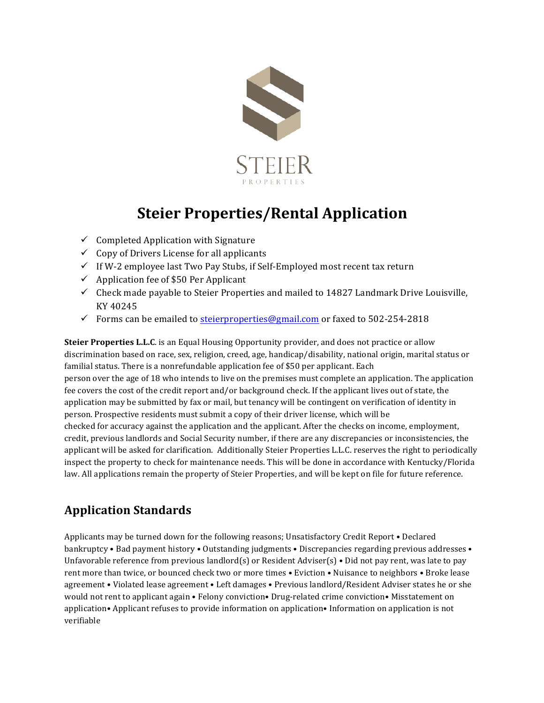

# **Steier Properties/Rental Application**

- $\checkmark$  Completed Application with Signature
- $\checkmark$  Copy of Drivers License for all applicants
- $\checkmark$  If W-2 employee last Two Pay Stubs, if Self-Employed most recent tax return
- $\checkmark$  Application fee of \$50 Per Applicant
- $\checkmark$  Check made payable to Steier Properties and mailed to 14827 Landmark Drive Louisville, KY 40245
- Forms can be emailed to steierproperties@gmail.com or faxed to  $502-254-2818$

**Steier Properties L.L.C.** is an Equal Housing Opportunity provider, and does not practice or allow discrimination based on race, sex, religion, creed, age, handicap/disability, national origin, marital status or familial status. There is a nonrefundable application fee of \$50 per applicant. Each person over the age of 18 who intends to live on the premises must complete an application. The application fee covers the cost of the credit report and/or background check. If the applicant lives out of state, the application may be submitted by fax or mail, but tenancy will be contingent on verification of identity in person. Prospective residents must submit a copy of their driver license, which will be checked for accuracy against the application and the applicant. After the checks on income, employment, credit, previous landlords and Social Security number, if there are any discrepancies or inconsistencies, the applicant will be asked for clarification. Additionally Steier Properties L.L.C. reserves the right to periodically inspect the property to check for maintenance needs. This will be done in accordance with Kentucky/Florida law. All applications remain the property of Steier Properties, and will be kept on file for future reference.

#### **Application Standards**

Applicants may be turned down for the following reasons; Unsatisfactory Credit Report . Declared bankruptcy • Bad payment history • Outstanding judgments • Discrepancies regarding previous addresses • Unfavorable reference from previous landlord(s) or Resident Adviser(s) • Did not pay rent, was late to pay rent more than twice, or bounced check two or more times • Eviction • Nuisance to neighbors • Broke lease agreement • Violated lease agreement • Left damages • Previous landlord/Resident Adviser states he or she would not rent to applicant again • Felony conviction• Drug-related crime conviction• Misstatement on application• Applicant refuses to provide information on application• Information on application is not verifiable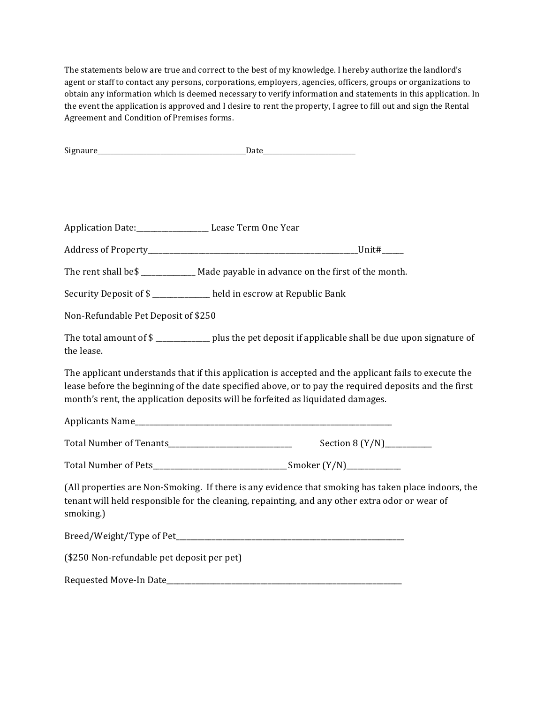The statements below are true and correct to the best of my knowledge. I hereby authorize the landlord's agent or staff to contact any persons, corporations, employers, agencies, officers, groups or organizations to obtain any information which is deemed necessary to verify information and statements in this application. In the event the application is approved and I desire to rent the property, I agree to fill out and sign the Rental Agreement and Condition of Premises forms.

|                                            | Application Date:____________________ Lease Term One Year                                                                                                                                                                                                                                         |  |
|--------------------------------------------|---------------------------------------------------------------------------------------------------------------------------------------------------------------------------------------------------------------------------------------------------------------------------------------------------|--|
|                                            |                                                                                                                                                                                                                                                                                                   |  |
|                                            | The rent shall be\$ ______________ Made payable in advance on the first of the month.                                                                                                                                                                                                             |  |
|                                            | Security Deposit of \$ ___________ held in escrow at Republic Bank                                                                                                                                                                                                                                |  |
| Non-Refundable Pet Deposit of \$250        |                                                                                                                                                                                                                                                                                                   |  |
| the lease.                                 | The total amount of \$ ______________ plus the pet deposit if applicable shall be due upon signature of                                                                                                                                                                                           |  |
|                                            | The applicant understands that if this application is accepted and the applicant fails to execute the<br>lease before the beginning of the date specified above, or to pay the required deposits and the first<br>month's rent, the application deposits will be forfeited as liquidated damages. |  |
|                                            |                                                                                                                                                                                                                                                                                                   |  |
|                                            |                                                                                                                                                                                                                                                                                                   |  |
|                                            |                                                                                                                                                                                                                                                                                                   |  |
| smoking.)                                  | (All properties are Non-Smoking. If there is any evidence that smoking has taken place indoors, the<br>tenant will held responsible for the cleaning, repainting, and any other extra odor or wear of                                                                                             |  |
|                                            |                                                                                                                                                                                                                                                                                                   |  |
| (\$250 Non-refundable pet deposit per pet) |                                                                                                                                                                                                                                                                                                   |  |
|                                            |                                                                                                                                                                                                                                                                                                   |  |
|                                            |                                                                                                                                                                                                                                                                                                   |  |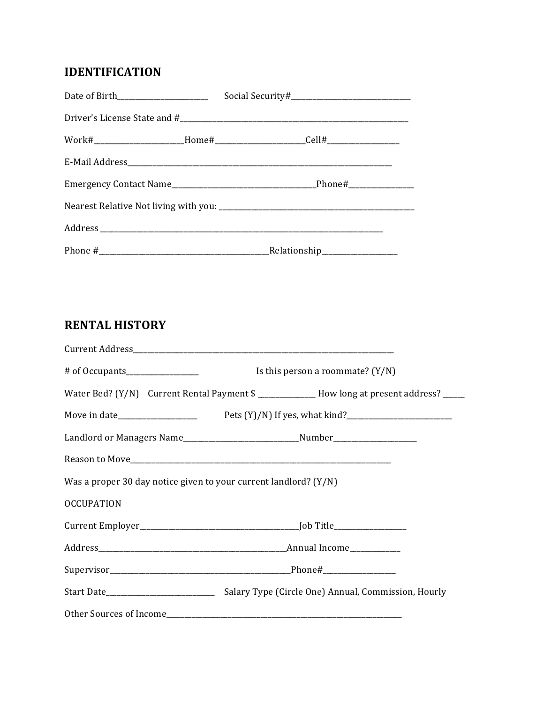## **IDENTIFICATION**

| Date of Birth________________________ |  |  |  |  |  |  |  |  |
|---------------------------------------|--|--|--|--|--|--|--|--|
|                                       |  |  |  |  |  |  |  |  |
|                                       |  |  |  |  |  |  |  |  |
|                                       |  |  |  |  |  |  |  |  |
|                                       |  |  |  |  |  |  |  |  |
|                                       |  |  |  |  |  |  |  |  |
|                                       |  |  |  |  |  |  |  |  |
|                                       |  |  |  |  |  |  |  |  |

## **RENTAL HISTORY**

|                                                                                  |  | Is this person a roommate? $(Y/N)$ |  |                                                                                               |  |  |
|----------------------------------------------------------------------------------|--|------------------------------------|--|-----------------------------------------------------------------------------------------------|--|--|
|                                                                                  |  |                                    |  | Water Bed? (Y/N) Current Rental Payment \$ _______________ How long at present address? _____ |  |  |
|                                                                                  |  |                                    |  |                                                                                               |  |  |
| Landlord or Managers Name_______________________________Number__________________ |  |                                    |  |                                                                                               |  |  |
|                                                                                  |  |                                    |  |                                                                                               |  |  |
| Was a proper 30 day notice given to your current landlord? $(Y/N)$               |  |                                    |  |                                                                                               |  |  |
| <b>OCCUPATION</b>                                                                |  |                                    |  |                                                                                               |  |  |
|                                                                                  |  |                                    |  |                                                                                               |  |  |
|                                                                                  |  |                                    |  |                                                                                               |  |  |
|                                                                                  |  |                                    |  |                                                                                               |  |  |
|                                                                                  |  |                                    |  |                                                                                               |  |  |
|                                                                                  |  |                                    |  |                                                                                               |  |  |